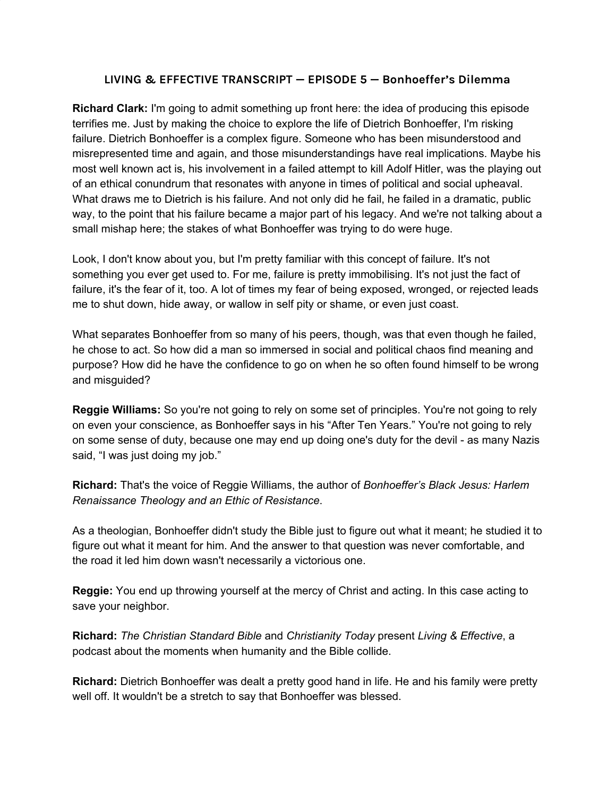## **LIVING & EFFECTIVE TRANSCRIPT — EPISODE 5 — Bonhoeffer's Dilemma**

**Richard Clark:** I'm going to admit something up front here: the idea of producing this episode terrifies me. Just by making the choice to explore the life of Dietrich Bonhoeffer, I'm risking failure. Dietrich Bonhoeffer is a complex figure. Someone who has been misunderstood and misrepresented time and again, and those misunderstandings have real implications. Maybe his most well known act is, his involvement in a failed attempt to kill Adolf Hitler, was the playing out of an ethical conundrum that resonates with anyone in times of political and social upheaval. What draws me to Dietrich is his failure. And not only did he fail, he failed in a dramatic, public way, to the point that his failure became a major part of his legacy. And we're not talking about a small mishap here; the stakes of what Bonhoeffer was trying to do were huge.

Look, I don't know about you, but I'm pretty familiar with this concept of failure. It's not something you ever get used to. For me, failure is pretty immobilising. It's not just the fact of failure, it's the fear of it, too. A lot of times my fear of being exposed, wronged, or rejected leads me to shut down, hide away, or wallow in self pity or shame, or even just coast.

What separates Bonhoeffer from so many of his peers, though, was that even though he failed, he chose to act. So how did a man so immersed in social and political chaos find meaning and purpose? How did he have the confidence to go on when he so often found himself to be wrong and misguided?

**Reggie Williams:** So you're not going to rely on some set of principles. You're not going to rely on even your conscience, as Bonhoeffer says in his "After Ten Years." You're not going to rely on some sense of duty, because one may end up doing one's duty for the devil - as many Nazis said, "I was just doing my job."

**Richard:** That's the voice of Reggie Williams, the author of *Bonhoeffer's Black Jesus: Harlem Renaissance Theology and an Ethic of Resistance*.

As a theologian, Bonhoeffer didn't study the Bible just to figure out what it meant; he studied it to figure out what it meant for him. And the answer to that question was never comfortable, and the road it led him down wasn't necessarily a victorious one.

**Reggie:** You end up throwing yourself at the mercy of Christ and acting. In this case acting to save your neighbor.

**Richard:** *The Christian Standard Bible* and *Christianity Today* present *Living & Effective*, a podcast about the moments when humanity and the Bible collide.

**Richard:** Dietrich Bonhoeffer was dealt a pretty good hand in life. He and his family were pretty well off. It wouldn't be a stretch to say that Bonhoeffer was blessed.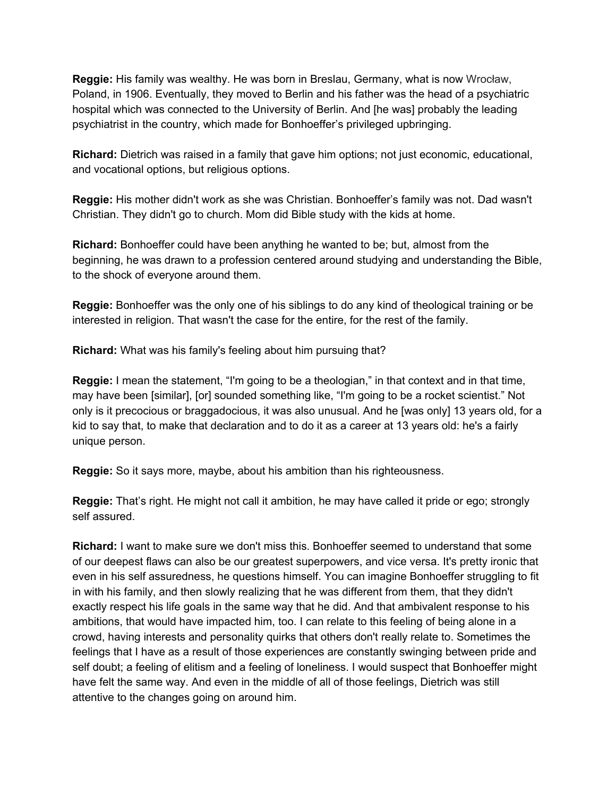**Reggie:** His family was wealthy. He was born in Breslau, Germany, what is now Wrocław, Poland, in 1906. Eventually, they moved to Berlin and his father was the head of a psychiatric hospital which was connected to the University of Berlin. And [he was] probably the leading psychiatrist in the country, which made for Bonhoeffer's privileged upbringing.

**Richard:** Dietrich was raised in a family that gave him options; not just economic, educational, and vocational options, but religious options.

**Reggie:** His mother didn't work as she was Christian. Bonhoeffer's family was not. Dad wasn't Christian. They didn't go to church. Mom did Bible study with the kids at home.

**Richard:** Bonhoeffer could have been anything he wanted to be; but, almost from the beginning, he was drawn to a profession centered around studying and understanding the Bible, to the shock of everyone around them.

**Reggie:** Bonhoeffer was the only one of his siblings to do any kind of theological training or be interested in religion. That wasn't the case for the entire, for the rest of the family.

**Richard:** What was his family's feeling about him pursuing that?

**Reggie:** I mean the statement, "I'm going to be a theologian," in that context and in that time, may have been [similar], [or] sounded something like, "I'm going to be a rocket scientist." Not only is it precocious or braggadocious, it was also unusual. And he [was only] 13 years old, for a kid to say that, to make that declaration and to do it as a career at 13 years old: he's a fairly unique person.

**Reggie:** So it says more, maybe, about his ambition than his righteousness.

**Reggie:** That's right. He might not call it ambition, he may have called it pride or ego; strongly self assured.

**Richard:** I want to make sure we don't miss this. Bonhoeffer seemed to understand that some of our deepest flaws can also be our greatest superpowers, and vice versa. It's pretty ironic that even in his self assuredness, he questions himself. You can imagine Bonhoeffer struggling to fit in with his family, and then slowly realizing that he was different from them, that they didn't exactly respect his life goals in the same way that he did. And that ambivalent response to his ambitions, that would have impacted him, too. I can relate to this feeling of being alone in a crowd, having interests and personality quirks that others don't really relate to. Sometimes the feelings that I have as a result of those experiences are constantly swinging between pride and self doubt; a feeling of elitism and a feeling of loneliness. I would suspect that Bonhoeffer might have felt the same way. And even in the middle of all of those feelings, Dietrich was still attentive to the changes going on around him.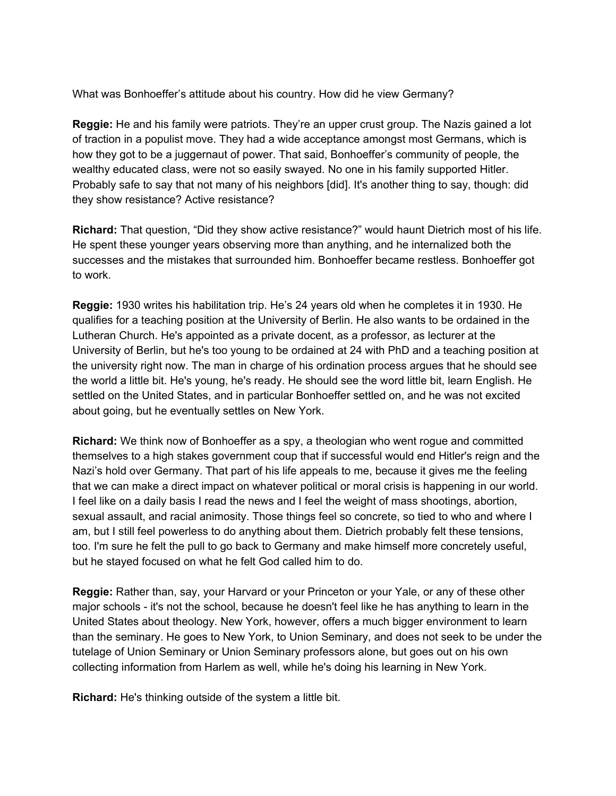What was Bonhoeffer's attitude about his country. How did he view Germany?

**Reggie:** He and his family were patriots. They're an upper crust group. The Nazis gained a lot of traction in a populist move. They had a wide acceptance amongst most Germans, which is how they got to be a juggernaut of power. That said, Bonhoeffer's community of people, the wealthy educated class, were not so easily swayed. No one in his family supported Hitler. Probably safe to say that not many of his neighbors [did]. It's another thing to say, though: did they show resistance? Active resistance?

**Richard:** That question, "Did they show active resistance?" would haunt Dietrich most of his life. He spent these younger years observing more than anything, and he internalized both the successes and the mistakes that surrounded him. Bonhoeffer became restless. Bonhoeffer got to work.

**Reggie:** 1930 writes his habilitation trip. He's 24 years old when he completes it in 1930. He qualifies for a teaching position at the University of Berlin. He also wants to be ordained in the Lutheran Church. He's appointed as a private docent, as a professor, as lecturer at the University of Berlin, but he's too young to be ordained at 24 with PhD and a teaching position at the university right now. The man in charge of his ordination process argues that he should see the world a little bit. He's young, he's ready. He should see the word little bit, learn English. He settled on the United States, and in particular Bonhoeffer settled on, and he was not excited about going, but he eventually settles on New York.

**Richard:** We think now of Bonhoeffer as a spy, a theologian who went rogue and committed themselves to a high stakes government coup that if successful would end Hitler's reign and the Nazi's hold over Germany. That part of his life appeals to me, because it gives me the feeling that we can make a direct impact on whatever political or moral crisis is happening in our world. I feel like on a daily basis I read the news and I feel the weight of mass shootings, abortion, sexual assault, and racial animosity. Those things feel so concrete, so tied to who and where I am, but I still feel powerless to do anything about them. Dietrich probably felt these tensions, too. I'm sure he felt the pull to go back to Germany and make himself more concretely useful, but he stayed focused on what he felt God called him to do.

**Reggie:** Rather than, say, your Harvard or your Princeton or your Yale, or any of these other major schools - it's not the school, because he doesn't feel like he has anything to learn in the United States about theology. New York, however, offers a much bigger environment to learn than the seminary. He goes to New York, to Union Seminary, and does not seek to be under the tutelage of Union Seminary or Union Seminary professors alone, but goes out on his own collecting information from Harlem as well, while he's doing his learning in New York.

**Richard:** He's thinking outside of the system a little bit.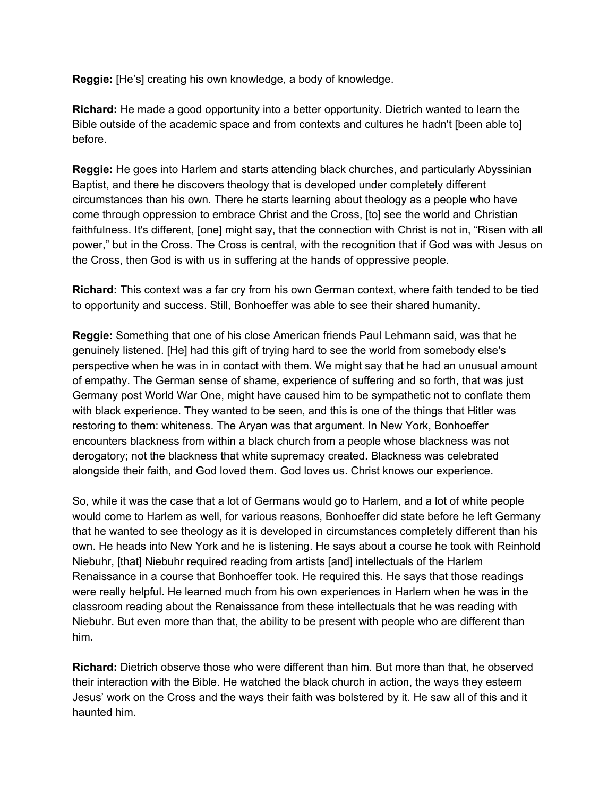**Reggie:** [He's] creating his own knowledge, a body of knowledge.

**Richard:** He made a good opportunity into a better opportunity. Dietrich wanted to learn the Bible outside of the academic space and from contexts and cultures he hadn't [been able to] before.

**Reggie:** He goes into Harlem and starts attending black churches, and particularly Abyssinian Baptist, and there he discovers theology that is developed under completely different circumstances than his own. There he starts learning about theology as a people who have come through oppression to embrace Christ and the Cross, [to] see the world and Christian faithfulness. It's different, [one] might say, that the connection with Christ is not in, "Risen with all power," but in the Cross. The Cross is central, with the recognition that if God was with Jesus on the Cross, then God is with us in suffering at the hands of oppressive people.

**Richard:** This context was a far cry from his own German context, where faith tended to be tied to opportunity and success. Still, Bonhoeffer was able to see their shared humanity.

**Reggie:** Something that one of his close American friends Paul Lehmann said, was that he genuinely listened. [He] had this gift of trying hard to see the world from somebody else's perspective when he was in in contact with them. We might say that he had an unusual amount of empathy. The German sense of shame, experience of suffering and so forth, that was just Germany post World War One, might have caused him to be sympathetic not to conflate them with black experience. They wanted to be seen, and this is one of the things that Hitler was restoring to them: whiteness. The Aryan was that argument. In New York, Bonhoeffer encounters blackness from within a black church from a people whose blackness was not derogatory; not the blackness that white supremacy created. Blackness was celebrated alongside their faith, and God loved them. God loves us. Christ knows our experience.

So, while it was the case that a lot of Germans would go to Harlem, and a lot of white people would come to Harlem as well, for various reasons, Bonhoeffer did state before he left Germany that he wanted to see theology as it is developed in circumstances completely different than his own. He heads into New York and he is listening. He says about a course he took with Reinhold Niebuhr, [that] Niebuhr required reading from artists [and] intellectuals of the Harlem Renaissance in a course that Bonhoeffer took. He required this. He says that those readings were really helpful. He learned much from his own experiences in Harlem when he was in the classroom reading about the Renaissance from these intellectuals that he was reading with Niebuhr. But even more than that, the ability to be present with people who are different than him.

**Richard:** Dietrich observe those who were different than him. But more than that, he observed their interaction with the Bible. He watched the black church in action, the ways they esteem Jesus' work on the Cross and the ways their faith was bolstered by it. He saw all of this and it haunted him.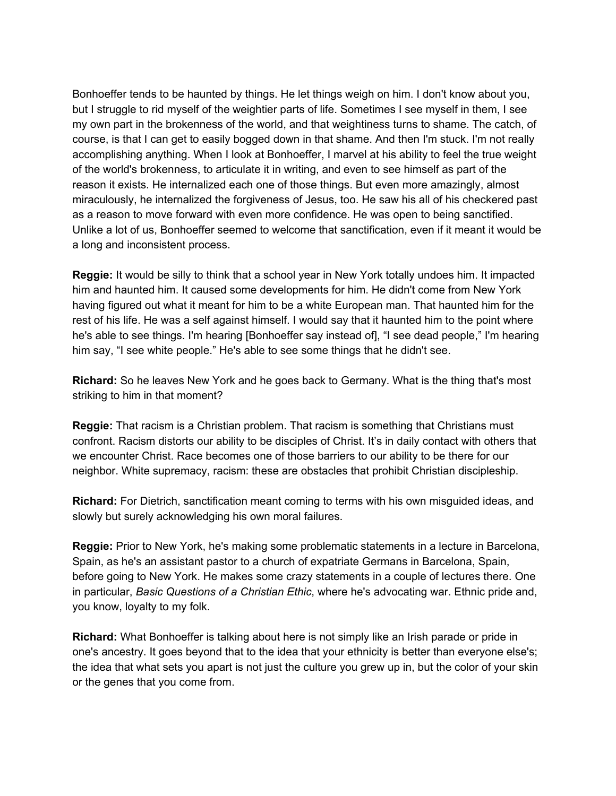Bonhoeffer tends to be haunted by things. He let things weigh on him. I don't know about you, but I struggle to rid myself of the weightier parts of life. Sometimes I see myself in them, I see my own part in the brokenness of the world, and that weightiness turns to shame. The catch, of course, is that I can get to easily bogged down in that shame. And then I'm stuck. I'm not really accomplishing anything. When I look at Bonhoeffer, I marvel at his ability to feel the true weight of the world's brokenness, to articulate it in writing, and even to see himself as part of the reason it exists. He internalized each one of those things. But even more amazingly, almost miraculously, he internalized the forgiveness of Jesus, too. He saw his all of his checkered past as a reason to move forward with even more confidence. He was open to being sanctified. Unlike a lot of us, Bonhoeffer seemed to welcome that sanctification, even if it meant it would be a long and inconsistent process.

**Reggie:** It would be silly to think that a school year in New York totally undoes him. It impacted him and haunted him. It caused some developments for him. He didn't come from New York having figured out what it meant for him to be a white European man. That haunted him for the rest of his life. He was a self against himself. I would say that it haunted him to the point where he's able to see things. I'm hearing [Bonhoeffer say instead of], "I see dead people," I'm hearing him say, "I see white people." He's able to see some things that he didn't see.

**Richard:** So he leaves New York and he goes back to Germany. What is the thing that's most striking to him in that moment?

**Reggie:** That racism is a Christian problem. That racism is something that Christians must confront. Racism distorts our ability to be disciples of Christ. It's in daily contact with others that we encounter Christ. Race becomes one of those barriers to our ability to be there for our neighbor. White supremacy, racism: these are obstacles that prohibit Christian discipleship.

**Richard:** For Dietrich, sanctification meant coming to terms with his own misguided ideas, and slowly but surely acknowledging his own moral failures.

**Reggie:** Prior to New York, he's making some problematic statements in a lecture in Barcelona, Spain, as he's an assistant pastor to a church of expatriate Germans in Barcelona, Spain, before going to New York. He makes some crazy statements in a couple of lectures there. One in particular, *Basic Questions of a Christian Ethic*, where he's advocating war. Ethnic pride and, you know, loyalty to my folk.

**Richard:** What Bonhoeffer is talking about here is not simply like an Irish parade or pride in one's ancestry. It goes beyond that to the idea that your ethnicity is better than everyone else's; the idea that what sets you apart is not just the culture you grew up in, but the color of your skin or the genes that you come from.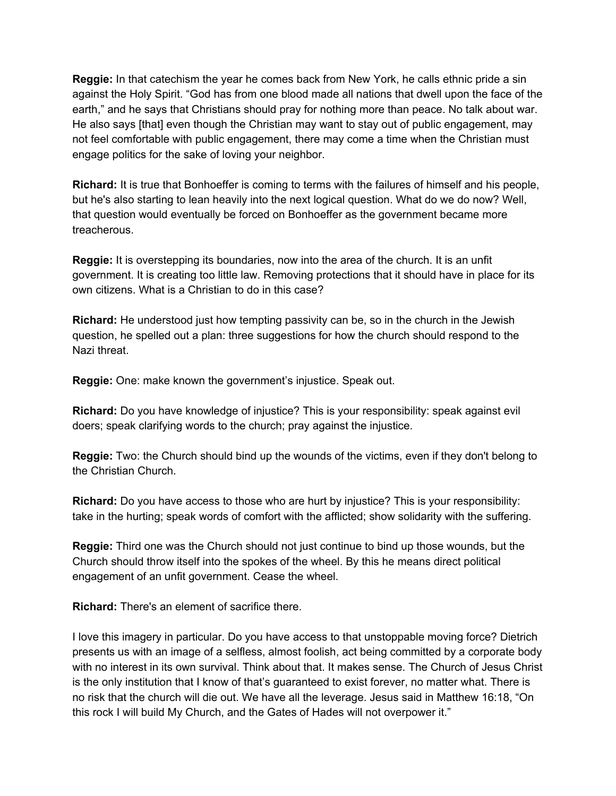**Reggie:** In that catechism the year he comes back from New York, he calls ethnic pride a sin against the Holy Spirit. "God has from one blood made all nations that dwell upon the face of the earth," and he says that Christians should pray for nothing more than peace. No talk about war. He also says [that] even though the Christian may want to stay out of public engagement, may not feel comfortable with public engagement, there may come a time when the Christian must engage politics for the sake of loving your neighbor.

**Richard:** It is true that Bonhoeffer is coming to terms with the failures of himself and his people, but he's also starting to lean heavily into the next logical question. What do we do now? Well, that question would eventually be forced on Bonhoeffer as the government became more treacherous.

**Reggie:** It is overstepping its boundaries, now into the area of the church. It is an unfit government. It is creating too little law. Removing protections that it should have in place for its own citizens. What is a Christian to do in this case?

**Richard:** He understood just how tempting passivity can be, so in the church in the Jewish question, he spelled out a plan: three suggestions for how the church should respond to the Nazi threat.

**Reggie:** One: make known the government's injustice. Speak out.

**Richard:** Do you have knowledge of injustice? This is your responsibility: speak against evil doers; speak clarifying words to the church; pray against the injustice.

**Reggie:** Two: the Church should bind up the wounds of the victims, even if they don't belong to the Christian Church.

**Richard:** Do you have access to those who are hurt by injustice? This is your responsibility: take in the hurting; speak words of comfort with the afflicted; show solidarity with the suffering.

**Reggie:** Third one was the Church should not just continue to bind up those wounds, but the Church should throw itself into the spokes of the wheel. By this he means direct political engagement of an unfit government. Cease the wheel.

**Richard:** There's an element of sacrifice there.

I love this imagery in particular. Do you have access to that unstoppable moving force? Dietrich presents us with an image of a selfless, almost foolish, act being committed by a corporate body with no interest in its own survival. Think about that. It makes sense. The Church of Jesus Christ is the only institution that I know of that's guaranteed to exist forever, no matter what. There is no risk that the church will die out. We have all the leverage. Jesus said in Matthew 16:18, "On this rock I will build My Church, and the Gates of Hades will not overpower it."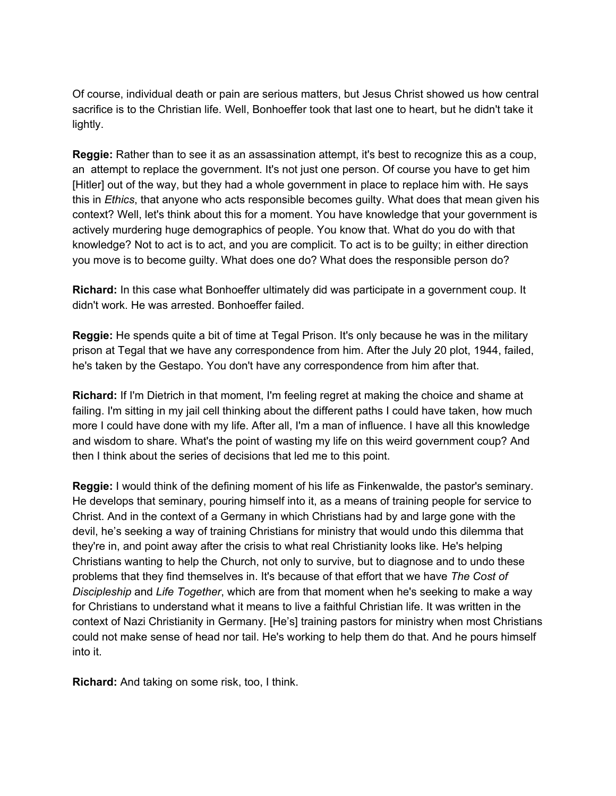Of course, individual death or pain are serious matters, but Jesus Christ showed us how central sacrifice is to the Christian life. Well, Bonhoeffer took that last one to heart, but he didn't take it lightly.

**Reggie:** Rather than to see it as an assassination attempt, it's best to recognize this as a coup, an attempt to replace the government. It's not just one person. Of course you have to get him [Hitler] out of the way, but they had a whole government in place to replace him with. He says this in *Ethics*, that anyone who acts responsible becomes guilty. What does that mean given his context? Well, let's think about this for a moment. You have knowledge that your government is actively murdering huge demographics of people. You know that. What do you do with that knowledge? Not to act is to act, and you are complicit. To act is to be guilty; in either direction you move is to become guilty. What does one do? What does the responsible person do?

**Richard:** In this case what Bonhoeffer ultimately did was participate in a government coup. It didn't work. He was arrested. Bonhoeffer failed.

**Reggie:** He spends quite a bit of time at Tegal Prison. It's only because he was in the military prison at Tegal that we have any correspondence from him. After the July 20 plot, 1944, failed, he's taken by the Gestapo. You don't have any correspondence from him after that.

**Richard:** If I'm Dietrich in that moment, I'm feeling regret at making the choice and shame at failing. I'm sitting in my jail cell thinking about the different paths I could have taken, how much more I could have done with my life. After all, I'm a man of influence. I have all this knowledge and wisdom to share. What's the point of wasting my life on this weird government coup? And then I think about the series of decisions that led me to this point.

**Reggie:** I would think of the defining moment of his life as Finkenwalde, the pastor's seminary. He develops that seminary, pouring himself into it, as a means of training people for service to Christ. And in the context of a Germany in which Christians had by and large gone with the devil, he's seeking a way of training Christians for ministry that would undo this dilemma that they're in, and point away after the crisis to what real Christianity looks like. He's helping Christians wanting to help the Church, not only to survive, but to diagnose and to undo these problems that they find themselves in. It's because of that effort that we have *The Cost of Discipleship* and *Life Together*, which are from that moment when he's seeking to make a way for Christians to understand what it means to live a faithful Christian life. It was written in the context of Nazi Christianity in Germany. [He's] training pastors for ministry when most Christians could not make sense of head nor tail. He's working to help them do that. And he pours himself into it.

**Richard:** And taking on some risk, too, I think.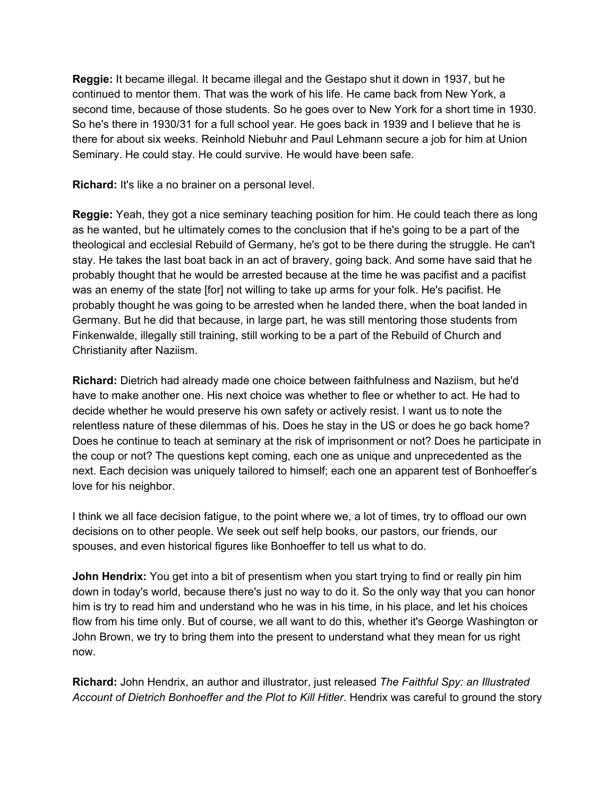**Reggie:** It became illegal. It became illegal and the Gestapo shut it down in 1937, but he continued to mentor them. That was the work of his life. He came back from New York, a second time, because of those students. So he goes over to New York for a short time in 1930. So he's there in 1930/31 for a full school year. He goes back in 1939 and I believe that he is there for about six weeks. Reinhold Niebuhr and Paul Lehmann secure a job for him at Union Seminary. He could stay. He could survive. He would have been safe.

**Richard:** It's like a no brainer on a personal level.

**Reggie:** Yeah, they got a nice seminary teaching position for him. He could teach there as long as he wanted, but he ultimately comes to the conclusion that if he's going to be a part of the theological and ecclesial Rebuild of Germany, he's got to be there during the struggle. He can't stay. He takes the last boat back in an act of bravery, going back. And some have said that he probably thought that he would be arrested because at the time he was pacifist and a pacifist was an enemy of the state [for] not willing to take up arms for your folk. He's pacifist. He probably thought he was going to be arrested when he landed there, when the boat landed in Germany. But he did that because, in large part, he was still mentoring those students from Finkenwalde, illegally still training, still working to be a part of the Rebuild of Church and Christianity after Naziism.

**Richard:** Dietrich had already made one choice between faithfulness and Naziism, but he'd have to make another one. His next choice was whether to flee or whether to act. He had to decide whether he would preserve his own safety or actively resist. I want us to note the relentless nature of these dilemmas of his. Does he stay in the US or does he go back home? Does he continue to teach at seminary at the risk of imprisonment or not? Does he participate in the coup or not? The questions kept coming, each one as unique and unprecedented as the next. Each decision was uniquely tailored to himself; each one an apparent test of Bonhoeffer's love for his neighbor.

I think we all face decision fatigue, to the point where we, a lot of times, try to offload our own decisions on to other people. We seek out self help books, our pastors, our friends, our spouses, and even historical figures like Bonhoeffer to tell us what to do.

**John Hendrix:** You get into a bit of presentism when you start trying to find or really pin him down in today's world, because there's just no way to do it. So the only way that you can honor him is try to read him and understand who he was in his time, in his place, and let his choices flow from his time only. But of course, we all want to do this, whether it's George Washington or John Brown, we try to bring them into the present to understand what they mean for us right now.

**Richard:** John Hendrix, an author and illustrator, just released *The Faithful Spy: an Illustrated Account of Dietrich Bonhoeffer and the Plot to Kill Hitler*. Hendrix was careful to ground the story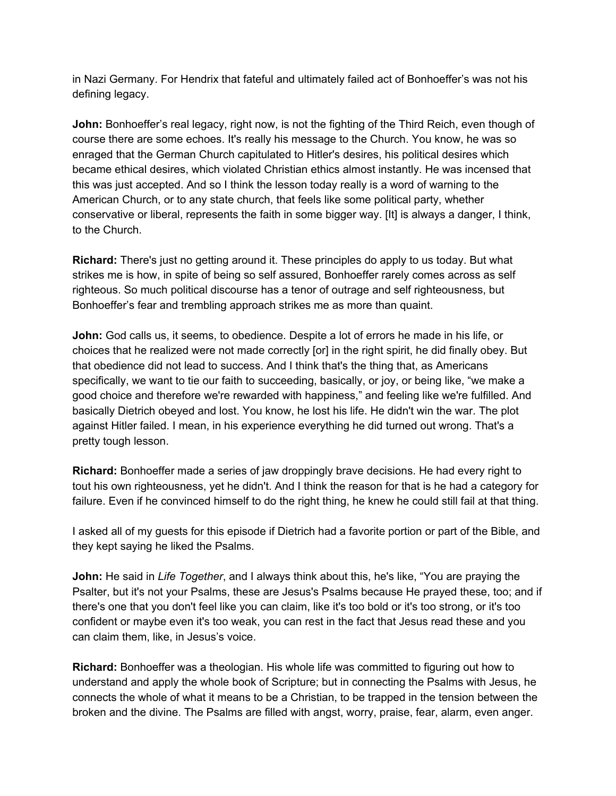in Nazi Germany. For Hendrix that fateful and ultimately failed act of Bonhoeffer's was not his defining legacy.

**John:** Bonhoeffer's real legacy, right now, is not the fighting of the Third Reich, even though of course there are some echoes. It's really his message to the Church. You know, he was so enraged that the German Church capitulated to Hitler's desires, his political desires which became ethical desires, which violated Christian ethics almost instantly. He was incensed that this was just accepted. And so I think the lesson today really is a word of warning to the American Church, or to any state church, that feels like some political party, whether conservative or liberal, represents the faith in some bigger way. [It] is always a danger, I think, to the Church.

**Richard:** There's just no getting around it. These principles do apply to us today. But what strikes me is how, in spite of being so self assured, Bonhoeffer rarely comes across as self righteous. So much political discourse has a tenor of outrage and self righteousness, but Bonhoeffer's fear and trembling approach strikes me as more than quaint.

**John:** God calls us, it seems, to obedience. Despite a lot of errors he made in his life, or choices that he realized were not made correctly [or] in the right spirit, he did finally obey. But that obedience did not lead to success. And I think that's the thing that, as Americans specifically, we want to tie our faith to succeeding, basically, or joy, or being like, "we make a good choice and therefore we're rewarded with happiness," and feeling like we're fulfilled. And basically Dietrich obeyed and lost. You know, he lost his life. He didn't win the war. The plot against Hitler failed. I mean, in his experience everything he did turned out wrong. That's a pretty tough lesson.

**Richard:** Bonhoeffer made a series of jaw droppingly brave decisions. He had every right to tout his own righteousness, yet he didn't. And I think the reason for that is he had a category for failure. Even if he convinced himself to do the right thing, he knew he could still fail at that thing.

I asked all of my guests for this episode if Dietrich had a favorite portion or part of the Bible, and they kept saying he liked the Psalms.

**John:** He said in *Life Together*, and I always think about this, he's like, "You are praying the Psalter, but it's not your Psalms, these are Jesus's Psalms because He prayed these, too; and if there's one that you don't feel like you can claim, like it's too bold or it's too strong, or it's too confident or maybe even it's too weak, you can rest in the fact that Jesus read these and you can claim them, like, in Jesus's voice.

**Richard:** Bonhoeffer was a theologian. His whole life was committed to figuring out how to understand and apply the whole book of Scripture; but in connecting the Psalms with Jesus, he connects the whole of what it means to be a Christian, to be trapped in the tension between the broken and the divine. The Psalms are filled with angst, worry, praise, fear, alarm, even anger.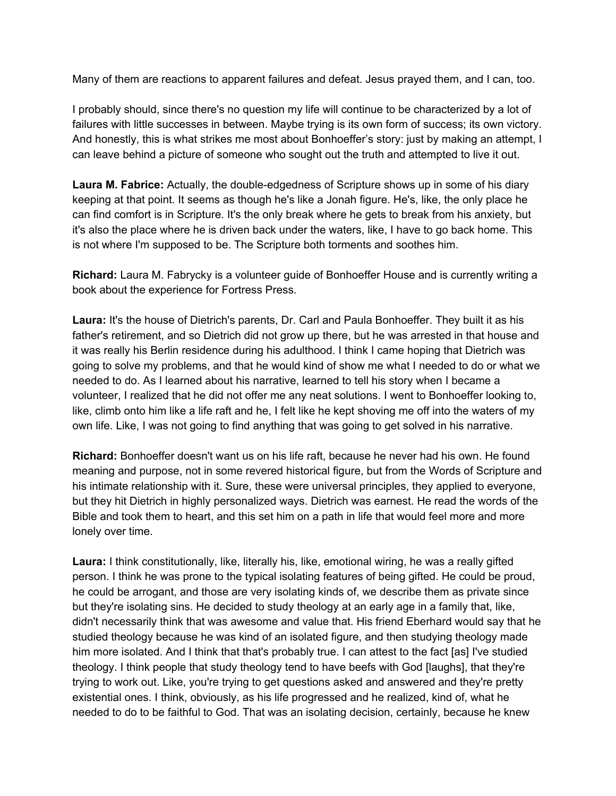Many of them are reactions to apparent failures and defeat. Jesus prayed them, and I can, too.

I probably should, since there's no question my life will continue to be characterized by a lot of failures with little successes in between. Maybe trying is its own form of success; its own victory. And honestly, this is what strikes me most about Bonhoeffer's story: just by making an attempt, I can leave behind a picture of someone who sought out the truth and attempted to live it out.

**Laura M. Fabrice:** Actually, the double-edgedness of Scripture shows up in some of his diary keeping at that point. It seems as though he's like a Jonah figure. He's, like, the only place he can find comfort is in Scripture. It's the only break where he gets to break from his anxiety, but it's also the place where he is driven back under the waters, like, I have to go back home. This is not where I'm supposed to be. The Scripture both torments and soothes him.

**Richard:** Laura M. Fabrycky is a volunteer guide of Bonhoeffer House and is currently writing a book about the experience for Fortress Press.

**Laura:** It's the house of Dietrich's parents, Dr. Carl and Paula Bonhoeffer. They built it as his father's retirement, and so Dietrich did not grow up there, but he was arrested in that house and it was really his Berlin residence during his adulthood. I think I came hoping that Dietrich was going to solve my problems, and that he would kind of show me what I needed to do or what we needed to do. As I learned about his narrative, learned to tell his story when I became a volunteer, I realized that he did not offer me any neat solutions. I went to Bonhoeffer looking to, like, climb onto him like a life raft and he, I felt like he kept shoving me off into the waters of my own life. Like, I was not going to find anything that was going to get solved in his narrative.

**Richard:** Bonhoeffer doesn't want us on his life raft, because he never had his own. He found meaning and purpose, not in some revered historical figure, but from the Words of Scripture and his intimate relationship with it. Sure, these were universal principles, they applied to everyone, but they hit Dietrich in highly personalized ways. Dietrich was earnest. He read the words of the Bible and took them to heart, and this set him on a path in life that would feel more and more lonely over time.

**Laura:** I think constitutionally, like, literally his, like, emotional wiring, he was a really gifted person. I think he was prone to the typical isolating features of being gifted. He could be proud, he could be arrogant, and those are very isolating kinds of, we describe them as private since but they're isolating sins. He decided to study theology at an early age in a family that, like, didn't necessarily think that was awesome and value that. His friend Eberhard would say that he studied theology because he was kind of an isolated figure, and then studying theology made him more isolated. And I think that that's probably true. I can attest to the fact [as] I've studied theology. I think people that study theology tend to have beefs with God [laughs], that they're trying to work out. Like, you're trying to get questions asked and answered and they're pretty existential ones. I think, obviously, as his life progressed and he realized, kind of, what he needed to do to be faithful to God. That was an isolating decision, certainly, because he knew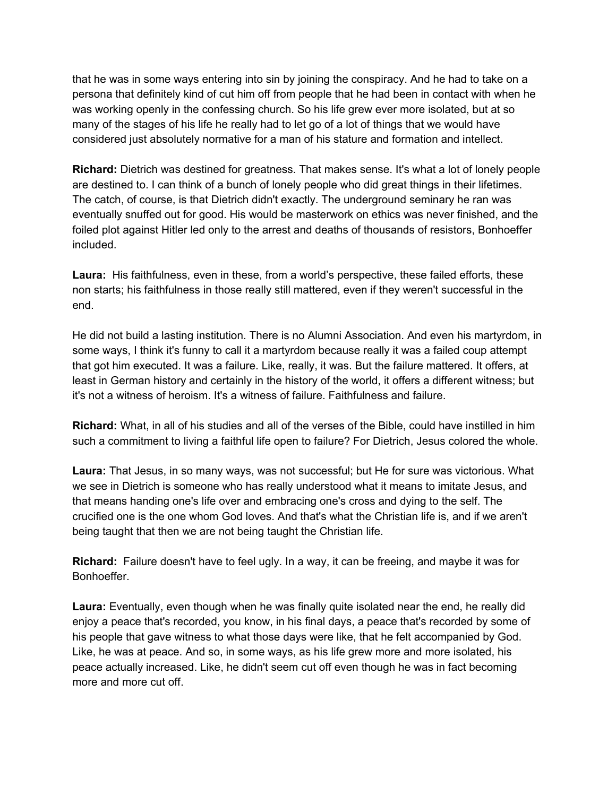that he was in some ways entering into sin by joining the conspiracy. And he had to take on a persona that definitely kind of cut him off from people that he had been in contact with when he was working openly in the confessing church. So his life grew ever more isolated, but at so many of the stages of his life he really had to let go of a lot of things that we would have considered just absolutely normative for a man of his stature and formation and intellect.

**Richard:** Dietrich was destined for greatness. That makes sense. It's what a lot of lonely people are destined to. I can think of a bunch of lonely people who did great things in their lifetimes. The catch, of course, is that Dietrich didn't exactly. The underground seminary he ran was eventually snuffed out for good. His would be masterwork on ethics was never finished, and the foiled plot against Hitler led only to the arrest and deaths of thousands of resistors, Bonhoeffer included.

**Laura:** His faithfulness, even in these, from a world's perspective, these failed efforts, these non starts; his faithfulness in those really still mattered, even if they weren't successful in the end.

He did not build a lasting institution. There is no Alumni Association. And even his martyrdom, in some ways, I think it's funny to call it a martyrdom because really it was a failed coup attempt that got him executed. It was a failure. Like, really, it was. But the failure mattered. It offers, at least in German history and certainly in the history of the world, it offers a different witness; but it's not a witness of heroism. It's a witness of failure. Faithfulness and failure.

**Richard:** What, in all of his studies and all of the verses of the Bible, could have instilled in him such a commitment to living a faithful life open to failure? For Dietrich, Jesus colored the whole.

**Laura:** That Jesus, in so many ways, was not successful; but He for sure was victorious. What we see in Dietrich is someone who has really understood what it means to imitate Jesus, and that means handing one's life over and embracing one's cross and dying to the self. The crucified one is the one whom God loves. And that's what the Christian life is, and if we aren't being taught that then we are not being taught the Christian life.

**Richard:** Failure doesn't have to feel ugly. In a way, it can be freeing, and maybe it was for Bonhoeffer.

**Laura:** Eventually, even though when he was finally quite isolated near the end, he really did enjoy a peace that's recorded, you know, in his final days, a peace that's recorded by some of his people that gave witness to what those days were like, that he felt accompanied by God. Like, he was at peace. And so, in some ways, as his life grew more and more isolated, his peace actually increased. Like, he didn't seem cut off even though he was in fact becoming more and more cut off.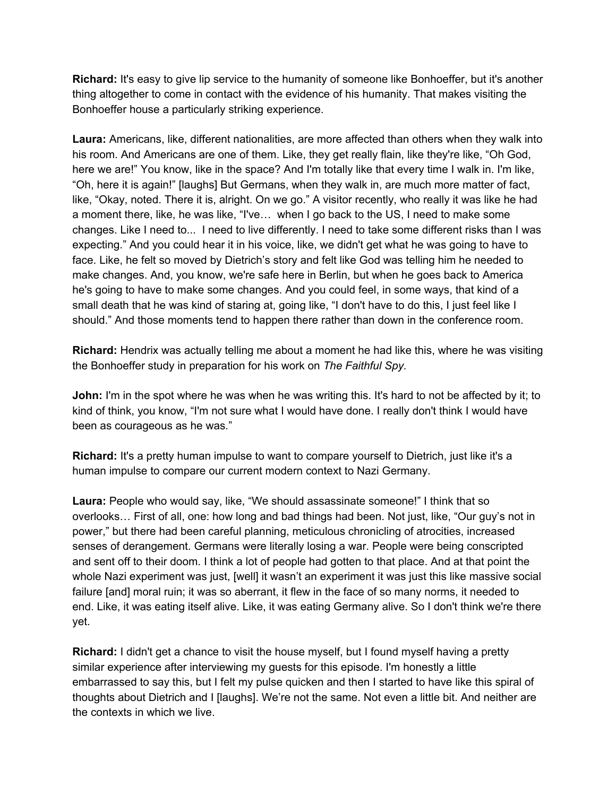**Richard:** It's easy to give lip service to the humanity of someone like Bonhoeffer, but it's another thing altogether to come in contact with the evidence of his humanity. That makes visiting the Bonhoeffer house a particularly striking experience.

**Laura:** Americans, like, different nationalities, are more affected than others when they walk into his room. And Americans are one of them. Like, they get really flain, like they're like, "Oh God, here we are!" You know, like in the space? And I'm totally like that every time I walk in. I'm like, "Oh, here it is again!" [laughs] But Germans, when they walk in, are much more matter of fact, like, "Okay, noted. There it is, alright. On we go." A visitor recently, who really it was like he had a moment there, like, he was like, "I've… when I go back to the US, I need to make some changes. Like I need to... I need to live differently. I need to take some different risks than I was expecting." And you could hear it in his voice, like, we didn't get what he was going to have to face. Like, he felt so moved by Dietrich's story and felt like God was telling him he needed to make changes. And, you know, we're safe here in Berlin, but when he goes back to America he's going to have to make some changes. And you could feel, in some ways, that kind of a small death that he was kind of staring at, going like, "I don't have to do this, I just feel like I should." And those moments tend to happen there rather than down in the conference room.

**Richard:** Hendrix was actually telling me about a moment he had like this, where he was visiting the Bonhoeffer study in preparation for his work on *The Faithful Spy.*

**John:** I'm in the spot where he was when he was writing this. It's hard to not be affected by it; to kind of think, you know, "I'm not sure what I would have done. I really don't think I would have been as courageous as he was*.*"

**Richard:** It's a pretty human impulse to want to compare yourself to Dietrich, just like it's a human impulse to compare our current modern context to Nazi Germany.

**Laura:** People who would say, like, "We should assassinate someone!" I think that so overlooks… First of all, one: how long and bad things had been. Not just, like, "Our guy's not in power," but there had been careful planning, meticulous chronicling of atrocities, increased senses of derangement. Germans were literally losing a war. People were being conscripted and sent off to their doom. I think a lot of people had gotten to that place. And at that point the whole Nazi experiment was just, [well] it wasn't an experiment it was just this like massive social failure [and] moral ruin; it was so aberrant, it flew in the face of so many norms, it needed to end. Like, it was eating itself alive. Like, it was eating Germany alive. So I don't think we're there yet.

**Richard:** I didn't get a chance to visit the house myself, but I found myself having a pretty similar experience after interviewing my guests for this episode. I'm honestly a little embarrassed to say this, but I felt my pulse quicken and then I started to have like this spiral of thoughts about Dietrich and I [laughs]. We're not the same. Not even a little bit. And neither are the contexts in which we live.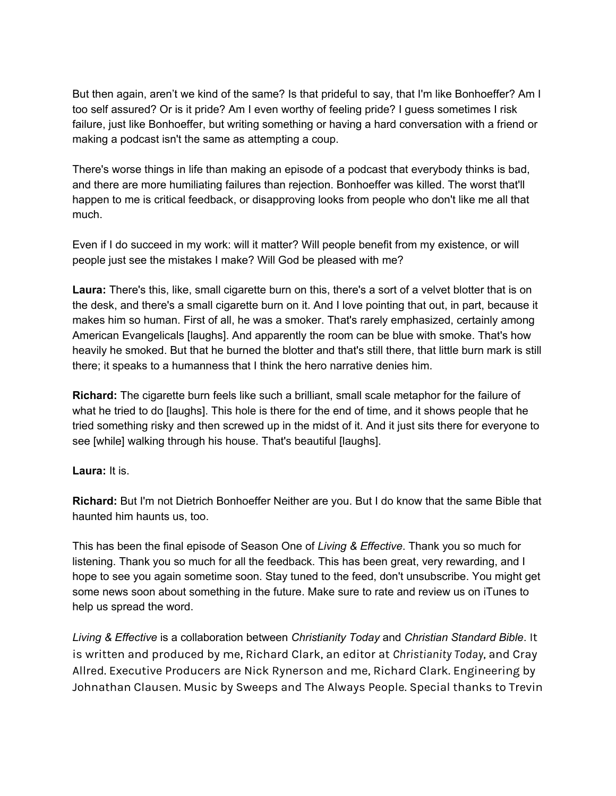But then again, aren't we kind of the same? Is that prideful to say, that I'm like Bonhoeffer? Am I too self assured? Or is it pride? Am I even worthy of feeling pride? I guess sometimes I risk failure, just like Bonhoeffer, but writing something or having a hard conversation with a friend or making a podcast isn't the same as attempting a coup.

There's worse things in life than making an episode of a podcast that everybody thinks is bad, and there are more humiliating failures than rejection. Bonhoeffer was killed. The worst that'll happen to me is critical feedback, or disapproving looks from people who don't like me all that much.

Even if I do succeed in my work: will it matter? Will people benefit from my existence, or will people just see the mistakes I make? Will God be pleased with me?

**Laura:** There's this, like, small cigarette burn on this, there's a sort of a velvet blotter that is on the desk, and there's a small cigarette burn on it. And I love pointing that out, in part, because it makes him so human. First of all, he was a smoker. That's rarely emphasized, certainly among American Evangelicals [laughs]. And apparently the room can be blue with smoke. That's how heavily he smoked. But that he burned the blotter and that's still there, that little burn mark is still there; it speaks to a humanness that I think the hero narrative denies him.

**Richard:** The cigarette burn feels like such a brilliant, small scale metaphor for the failure of what he tried to do [laughs]. This hole is there for the end of time, and it shows people that he tried something risky and then screwed up in the midst of it. And it just sits there for everyone to see [while] walking through his house. That's beautiful [laughs].

**Laura:** It is.

**Richard:** But I'm not Dietrich Bonhoeffer Neither are you. But I do know that the same Bible that haunted him haunts us, too.

This has been the final episode of Season One of *Living & Effective*. Thank you so much for listening. Thank you so much for all the feedback. This has been great, very rewarding, and I hope to see you again sometime soon. Stay tuned to the feed, don't unsubscribe. You might get some news soon about something in the future. Make sure to rate and review us on iTunes to help us spread the word.

*Living & Effective* is a collaboration between *Christianity Today* and *Christian Standard Bible*. It is written and produced by me, Richard Clark, an editor at *Christianity Today*, and Cray Allred. Executive Producers are Nick Rynerson and me, Richard Clark. Engineering by Johnathan Clausen. Music by Sweeps and The Always People. Special thanks to Trevin